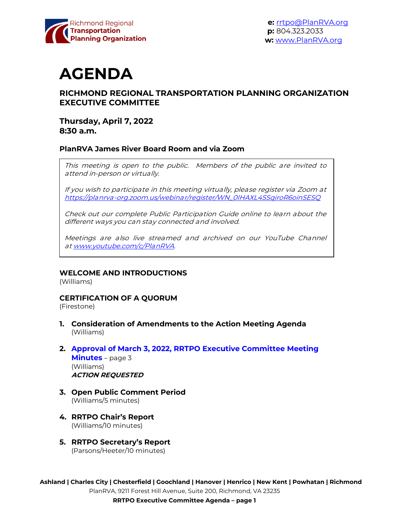

**e:** [rrtpo@PlanRVA.org](mailto:rrtpo@PlanRVA.org) **p:** 804.323.2033 **w:** [www.PlanRVA.org](http://www.planrva.org/)

# **AGENDA**

# **RICHMOND REGIONAL TRANSPORTATION PLANNING ORGANIZATION EXECUTIVE COMMITTEE**

# **Thursday, April 7, 2022 8:30 a.m.**

#### **PlanRVA James River Board Room and via Zoom**

This meeting is open to the public. Members of the public are invited to attend in-person or virtually.

If you wish to participate in this meeting virtually, please register via Zoom at [https://planrva-org.zoom.us/webinar/register/WN\\_0IHAXL4SSqiroR6oinSESQ](https://planrva-org.zoom.us/webinar/register/WN_0IHAXL4SSqiroR6oinSESQ)

Check out our complete Public Participation Guide online to learn about the different ways you can stay connected and involved.

Meetings are also live streamed and archived on our YouTube Channel at [www.youtube.com/c/PlanRVA.](http://www.youtube.com/c/PlanRVA)

#### **WELCOME AND INTRODUCTIONS**

(Williams)

#### **CERTIFICATION OF A QUORUM**

(Firestone)

- **1. Consideration of Amendments to the Action Meeting Agenda** (Williams)
- **2. Approval of March 3, 2022, RRTPO [Executive Committee Meeting](#page-2-0) Minutes** – page 3 (Williams) **ACTION REQUESTED**
- **3. Open Public Comment Period** (Williams/5 minutes)
- **4. RRTPO Chair's Report** (Williams/10 minutes)
- **5. RRTPO Secretary's Report** (Parsons/Heeter/10 minutes)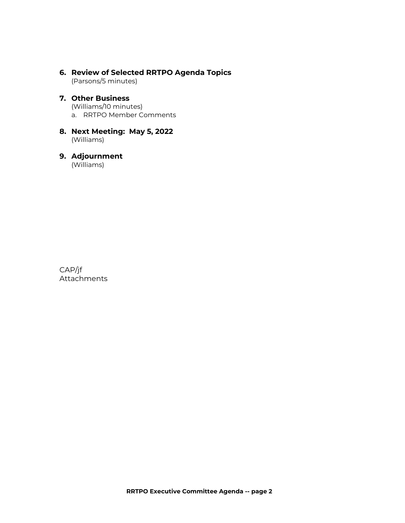#### **6. Review of Selected RRTPO Agenda Topics** (Parsons/5 minutes)

#### **7. Other Business**

(Williams/10 minutes)

a. RRTPO Member Comments

#### **8. Next Meeting: May 5, 2022** (Williams)

# **9. Adjournment**

(Williams)

CAP/jf Attachments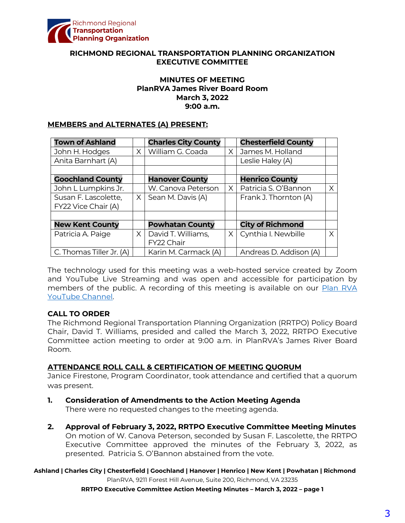<span id="page-2-0"></span>

#### **RICHMOND REGIONAL TRANSPORTATION PLANNING ORGANIZATION EXECUTIVE COMMITTEE**

#### **MINUTES OF MEETING PlanRVA James River Board Room March 3, 2022 9:00 a.m.**

#### **MEMBERS and ALTERNATES (A) PRESENT:**

| <b>Town of Ashland</b>   |          | <b>Charles City County</b> |          | <b>Chesterfield County</b> |   |
|--------------------------|----------|----------------------------|----------|----------------------------|---|
| John H. Hodges           | $\times$ | William G. Coada           | $\times$ | James M. Holland           |   |
| Anita Barnhart (A)       |          |                            |          | Leslie Haley (A)           |   |
|                          |          |                            |          |                            |   |
| <b>Goochland County</b>  |          | <b>Hanover County</b>      |          | <b>Henrico County</b>      |   |
| John L Lumpkins Jr.      |          | W. Canova Peterson         | $\times$ | Patricia S. O'Bannon       | X |
| Susan F. Lascolette,     | X.       | Sean M. Davis (A)          |          | Frank J. Thornton (A)      |   |
| FY22 Vice Chair (A)      |          |                            |          |                            |   |
|                          |          |                            |          |                            |   |
| <b>New Kent County</b>   |          | <b>Powhatan County</b>     |          | <b>City of Richmond</b>    |   |
| Patricia A. Paige        | X        | David T. Williams,         | $\times$ | Cynthia I. Newbille        | X |
|                          |          | FY22 Chair                 |          |                            |   |
| C. Thomas Tiller Jr. (A) |          | Karin M. Carmack (A)       |          | Andreas D. Addison (A)     |   |

The technology used for this meeting was a web-hosted service created by Zoom and YouTube Live Streaming and was open and accessible for participation by members of the public. A recording of this meeting is available on our Plan RVA [YouTube Channel.](https://www.youtube.com/watch?v=z0QZVILjyig) 

#### **CALL TO ORDER**

The Richmond Regional Transportation Planning Organization (RRTPO) Policy Board Chair, David T. Williams, presided and called the March 3, 2022, RRTPO Executive Committee action meeting to order at 9:00 a.m. in PlanRVA's James River Board Room.

#### **ATTENDANCE ROLL CALL & CERTIFICATION OF MEETING QUORUM**

Janice Firestone, Program Coordinator, took attendance and certified that a quorum was present.

- **1. Consideration of Amendments to the Action Meeting Agenda** There were no requested changes to the meeting agenda.
- **2. Approval of February 3, 2022, RRTPO Executive Committee Meeting Minutes** On motion of W. Canova Peterson, seconded by Susan F. Lascolette, the RRTPO Executive Committee approved the minutes of the February 3, 2022, as presented. Patricia S. O'Bannon abstained from the vote.

#### **Ashland | Charles City | Chesterfield | Goochland | Hanover | Henrico | New Kent | Powhatan | Richmond** PlanRVA, 9211 Forest Hill Avenue, Suite 200, Richmond, VA 23235

**RRTPO Executive Committee Action Meeting Minutes – March 3, 2022 – page 1**